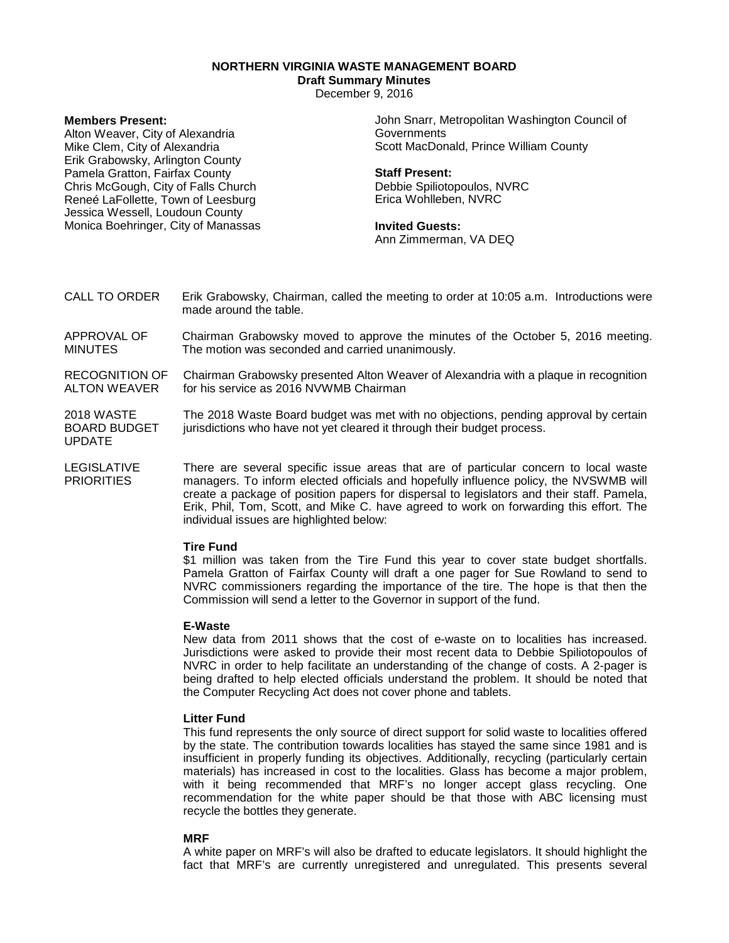# **NORTHERN VIRGINIA WASTE MANAGEMENT BOARD**

# **Draft Summary Minutes**

December 9, 2016

# **Members Present:**

Alton Weaver, City of Alexandria Mike Clem, City of Alexandria Erik Grabowsky, Arlington County Pamela Gratton, Fairfax County Chris McGough, City of Falls Church Reneé LaFollette, Town of Leesburg Jessica Wessell, Loudoun County Monica Boehringer, City of Manassas John Snarr, Metropolitan Washington Council of **Governments** Scott MacDonald, Prince William County

#### **Staff Present:**

Debbie Spiliotopoulos, NVRC Erica Wohlleben, NVRC

#### **Invited Guests:**

Ann Zimmerman, VA DEQ

- CALL TO ORDER Erik Grabowsky, Chairman, called the meeting to order at 10:05 a.m. Introductions were made around the table.
- APPROVAL OF MINUTES Chairman Grabowsky moved to approve the minutes of the October 5, 2016 meeting. The motion was seconded and carried unanimously.
- RECOGNITION OF ALTON WEAVER Chairman Grabowsky presented Alton Weaver of Alexandria with a plaque in recognition for his service as 2016 NVWMB Chairman

2018 WASTE BOARD BUDGET UPDATE The 2018 Waste Board budget was met with no objections, pending approval by certain jurisdictions who have not yet cleared it through their budget process.

LEGISLATIVE **PRIORITIES** There are several specific issue areas that are of particular concern to local waste managers. To inform elected officials and hopefully influence policy, the NVSWMB will create a package of position papers for dispersal to legislators and their staff. Pamela, Erik, Phil, Tom, Scott, and Mike C. have agreed to work on forwarding this effort. The individual issues are highlighted below:

# **Tire Fund**

\$1 million was taken from the Tire Fund this year to cover state budget shortfalls. Pamela Gratton of Fairfax County will draft a one pager for Sue Rowland to send to NVRC commissioners regarding the importance of the tire. The hope is that then the Commission will send a letter to the Governor in support of the fund.

# **E-Waste**

New data from 2011 shows that the cost of e-waste on to localities has increased. Jurisdictions were asked to provide their most recent data to Debbie Spiliotopoulos of NVRC in order to help facilitate an understanding of the change of costs. A 2-pager is being drafted to help elected officials understand the problem. It should be noted that the Computer Recycling Act does not cover phone and tablets.

# **Litter Fund**

This fund represents the only source of direct support for solid waste to localities offered by the state. The contribution towards localities has stayed the same since 1981 and is insufficient in properly funding its objectives. Additionally, recycling (particularly certain materials) has increased in cost to the localities. Glass has become a major problem, with it being recommended that MRF's no longer accept glass recycling. One recommendation for the white paper should be that those with ABC licensing must recycle the bottles they generate.

# **MRF**

A white paper on MRF's will also be drafted to educate legislators. It should highlight the fact that MRF's are currently unregistered and unregulated. This presents several